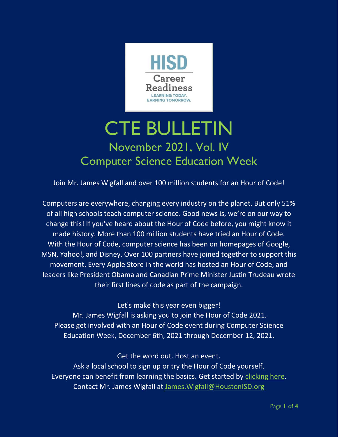

# CTE BULLETIN November 2021, Vol. IV Computer Science Education Week

Join Mr. James Wigfall and over 100 million students for an Hour of Code!

Computers are everywhere, changing every industry on the planet. But only 51% of all high schools teach computer science. Good news is, we're on our way to change this! If you've heard about the Hour of Code before, you might know it made history. More than 100 million students have tried an Hour of Code. With the Hour of Code, computer science has been on homepages of Google, MSN, Yahoo!, and Disney. Over 100 partners have joined together to support this movement. Every Apple Store in the world has hosted an Hour of Code, and leaders like President Obama and Canadian Prime Minister Justin Trudeau wrote their first lines of code as part of the campaign.

Let's make this year even bigger!

Mr. James Wigfall is asking you to join the Hour of Code 2021. Please get involved with an Hour of Code event during Computer Science Education Week, December 6th, 2021 through December 12, 2021.

Get the word out. Host an event.

Ask a local school to sign up or try the Hour of Code yourself. Everyone can benefit from learning the basics. Get started by [clicking here.](https://www.houstonisd.org/domain/53040) Contact Mr. James Wigfall at [James.Wigfall@HoustonISD.org](mailto:James.Wigfall@HoustonISD.org)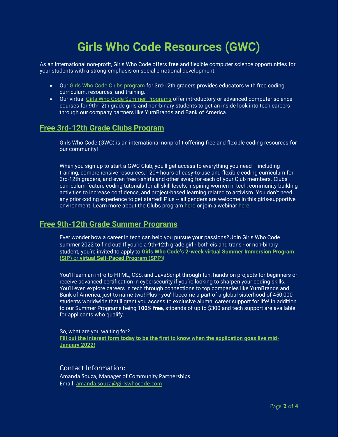## **Girls Who Code Resources (GWC)**

As an international non-profit, Girls Who Code offers **free** and flexible computer science opportunities for your students with a strong emphasis on social emotional development.

- Our [Girls Who Code Clubs program](https://nam10.safelinks.protection.outlook.com/?url=https%3A%2F%2Ft.yesware.com%2Ftt%2F42966344c603e47252fa3d50902c41380d1644d3%2F11ccf9c2f0a0f1812b0604827d653f5a%2F7ceb11a850d174bda1fd49c1e43fc3ab%2Fgirlswhocode.com%2Fwebsite%2Fuploads%2FGWC_Clubs_Flyers_General_z2-min.pdf&data=04%7C01%7Cjennifer.bullock%40tea.texas.gov%7C1611366238ca4ef8b8bb08d9aa9a4dd7%7C65d6b3c3723648189613248dbd713a6f%7C0%7C0%7C637728404509734075%7CUnknown%7CTWFpbGZsb3d8eyJWIjoiMC4wLjAwMDAiLCJQIjoiV2luMzIiLCJBTiI6Ik1haWwiLCJXVCI6Mn0%3D%7C3000&sdata=nQjeOoaz88Pj4MhVV5cu9Hmhr2CHtFWg7iEQmKuiau8%3D&reserved=0) for 3rd-12th graders provides educators with free coding curriculum, resources, and training.
- Our virtual [Girls Who Code Summer Programs](https://nam10.safelinks.protection.outlook.com/?url=https%3A%2F%2Ft.yesware.com%2Ftt%2F42966344c603e47252fa3d50902c41380d1644d3%2F11ccf9c2f0a0f1812b0604827d653f5a%2F8cbb6237968304a21a74627ba8343ef3%2Fgirlswhocode.com%2Fprograms%2Fsummer-immersion-program&data=04%7C01%7Cjennifer.bullock%40tea.texas.gov%7C1611366238ca4ef8b8bb08d9aa9a4dd7%7C65d6b3c3723648189613248dbd713a6f%7C0%7C0%7C637728404509744033%7CUnknown%7CTWFpbGZsb3d8eyJWIjoiMC4wLjAwMDAiLCJQIjoiV2luMzIiLCJBTiI6Ik1haWwiLCJXVCI6Mn0%3D%7C3000&sdata=N3ZV%2FdRtVwjZmzZfnV8hxY7ufOV5fuBvRNlpIvIVluA%3D&reserved=0) offer introductory or advanced computer science courses for 9th-12th grade girls and non-binary students to get an inside look into tech careers through our company partners like YumBrands and Bank of America.

#### **Free 3rd-12th Grade Clubs Program**

Girls Who Code (GWC) is an international nonprofit offering free and flexible coding resources for our community!

When you sign up to start a GWC Club, you'll get access to everything you need -- including training, comprehensive resources, 120+ hours of easy-to-use and flexible coding curriculum for 3rd-12th graders, and even free t-shirts and other swag for each of your Club members. Clubs' curriculum feature coding tutorials for all skill levels, inspiring women in tech, community-building activities to increase confidence, and project-based learning related to activism. You don't need any prior coding experience to get started! Plus -- all genders are welcome in this girls-supportive environment. Learn more about the Clubs program [here](https://nam10.safelinks.protection.outlook.com/?url=https%3A%2F%2Ft.yesware.com%2Ftt%2F42966344c603e47252fa3d50902c41380d1644d3%2F11ccf9c2f0a0f1812b0604827d653f5a%2F7ceb11a850d174bda1fd49c1e43fc3ab%2Fgirlswhocode.com%2Fwebsite%2Fuploads%2FGWC_Clubs_Flyers_General_z2-min.pdf&data=04%7C01%7Cjennifer.bullock%40tea.texas.gov%7C1611366238ca4ef8b8bb08d9aa9a4dd7%7C65d6b3c3723648189613248dbd713a6f%7C0%7C0%7C637728404509744033%7CUnknown%7CTWFpbGZsb3d8eyJWIjoiMC4wLjAwMDAiLCJQIjoiV2luMzIiLCJBTiI6Ik1haWwiLCJXVCI6Mn0%3D%7C3000&sdata=%2Fs0Ox7L9FIAxXl85IbzwogkYI05A5y%2BciV0H8VmPTfY%3D&reserved=0) or join a webinar [here.](https://nam10.safelinks.protection.outlook.com/?url=https%3A%2F%2Ft.yesware.com%2Ftt%2F42966344c603e47252fa3d50902c41380d1644d3%2F11ccf9c2f0a0f1812b0604827d653f5a%2F3ad986182dacd09efae455d6efd4ffdc%2Fmailchi.mp%2F2b5b35a48013%2Fusclubsandsip&data=04%7C01%7Cjennifer.bullock%40tea.texas.gov%7C1611366238ca4ef8b8bb08d9aa9a4dd7%7C65d6b3c3723648189613248dbd713a6f%7C0%7C0%7C637728404509753994%7CUnknown%7CTWFpbGZsb3d8eyJWIjoiMC4wLjAwMDAiLCJQIjoiV2luMzIiLCJBTiI6Ik1haWwiLCJXVCI6Mn0%3D%7C3000&sdata=J8BCP9WQNhP%2BGa5zL1pBmHC5ykHr0GdHc7boEE4ruDM%3D&reserved=0)

#### **Free 9th-12th Grade Summer Programs**

Ever wonder how a career in tech can help you pursue your passions? Join Girls Who Code summer 2022 to find out! If you're a 9th-12th grade girl - both cis and trans - or non-binary student**,** you're invited to apply to **Girls Who Code's 2[-week virtual Summer Immersion Program](https://nam10.safelinks.protection.outlook.com/?url=https%3A%2F%2Ft.yesware.com%2Ftt%2F42966344c603e47252fa3d50902c41380d1644d3%2F11ccf9c2f0a0f1812b0604827d653f5a%2F8cbb6237968304a21a74627ba8343ef3%2Fgirlswhocode.com%2Fprograms%2Fsummer-immersion-program&data=04%7C01%7Cjennifer.bullock%40tea.texas.gov%7C1611366238ca4ef8b8bb08d9aa9a4dd7%7C65d6b3c3723648189613248dbd713a6f%7C0%7C0%7C637728404509763946%7CUnknown%7CTWFpbGZsb3d8eyJWIjoiMC4wLjAwMDAiLCJQIjoiV2luMzIiLCJBTiI6Ik1haWwiLCJXVCI6Mn0%3D%7C3000&sdata=ravZYNvvThEYLymMeI26VS326fx1l4jqO5Ywq%2Bz%2FlU4%3D&reserved=0)  (SIP)** or **[virtual Self-Paced Program \(SPP\)](https://nam10.safelinks.protection.outlook.com/?url=https%3A%2F%2Ft.yesware.com%2Ftt%2F42966344c603e47252fa3d50902c41380d1644d3%2F11ccf9c2f0a0f1812b0604827d653f5a%2F8cbb6237968304a21a74627ba8343ef3%2Fgirlswhocode.com%2Fprograms%2Fsummer-immersion-program&data=04%7C01%7Cjennifer.bullock%40tea.texas.gov%7C1611366238ca4ef8b8bb08d9aa9a4dd7%7C65d6b3c3723648189613248dbd713a6f%7C0%7C0%7C637728404509763946%7CUnknown%7CTWFpbGZsb3d8eyJWIjoiMC4wLjAwMDAiLCJQIjoiV2luMzIiLCJBTiI6Ik1haWwiLCJXVCI6Mn0%3D%7C3000&sdata=ravZYNvvThEYLymMeI26VS326fx1l4jqO5Ywq%2Bz%2FlU4%3D&reserved=0)**!

You'll learn an intro to HTML, CSS, and JavaScript through fun, hands-on projects for beginners or receive advanced certification in cybersecurity if you're looking to sharpen your coding skills. You'll even explore careers in tech through connections to top companies like YumBrands and Bank of America, just to name two! Plus - you'll become a part of a global sisterhood of 450,000 students worldwide that'll grant you access to exclusive alumni career support for life! In addition to our Summer Programs being **100% free**, stipends of up to \$300 and tech support are available for applicants who qualify.

So, what are you waiting for? **[Fill out the interest form today to be the first to know when the application goes live mid-](https://nam10.safelinks.protection.outlook.com/?url=http%3A%2F%2Ft.yesware.com%2Ftt%2F42966344c603e47252fa3d50902c41380d1644d3%2F11ccf9c2f0a0f1812b0604827d653f5a%2F5ccf6e1a993a5828d5e7573ae694b042%2Fgirlswhocode.com%2Fsipapply&data=04%7C01%7Cjennifer.bullock%40tea.texas.gov%7C1611366238ca4ef8b8bb08d9aa9a4dd7%7C65d6b3c3723648189613248dbd713a6f%7C0%7C0%7C637728404509763946%7CUnknown%7CTWFpbGZsb3d8eyJWIjoiMC4wLjAwMDAiLCJQIjoiV2luMzIiLCJBTiI6Ik1haWwiLCJXVCI6Mn0%3D%7C3000&sdata=PTBZu%2BkEor8eqD%2FKQrrzK6ciOYANG33YH43q%2BtjdxU4%3D&reserved=0)[January 2022!](https://nam10.safelinks.protection.outlook.com/?url=http%3A%2F%2Ft.yesware.com%2Ftt%2F42966344c603e47252fa3d50902c41380d1644d3%2F11ccf9c2f0a0f1812b0604827d653f5a%2F5ccf6e1a993a5828d5e7573ae694b042%2Fgirlswhocode.com%2Fsipapply&data=04%7C01%7Cjennifer.bullock%40tea.texas.gov%7C1611366238ca4ef8b8bb08d9aa9a4dd7%7C65d6b3c3723648189613248dbd713a6f%7C0%7C0%7C637728404509763946%7CUnknown%7CTWFpbGZsb3d8eyJWIjoiMC4wLjAwMDAiLCJQIjoiV2luMzIiLCJBTiI6Ik1haWwiLCJXVCI6Mn0%3D%7C3000&sdata=PTBZu%2BkEor8eqD%2FKQrrzK6ciOYANG33YH43q%2BtjdxU4%3D&reserved=0)**

#### Contact Information:

Amanda Souza, Manager of Community Partnerships Email: [amanda.souza@girlswhocode.com](mailto:amanda.souza@girlswhocode.com)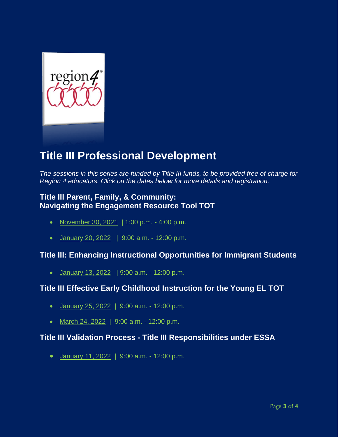

## **Title III Professional Development**

*The sessions in this series are funded by Title III funds, to be provided free of charge for Region 4 educators. Click on the dates below for more details and registration.*

#### **Title III Parent, Family, & Community: Navigating the Engagement Resource Tool TOT**

- [November 30, 2021](https://r20.rs6.net/tn.jsp?f=001ET53Rwtk0G-R6B3qNLpoD3_wTLTEjbzwogj9RaPxyc_orI19lFMSkjgORZUtw6ghVb1yhG7eKkC1t3HVOaof52bGV8mix3Ca4_ldijhv9ZQ9AYKA4jynnP3b0BgqOJGxogP3QrPiTL0mY_4OGwxP8_uhSzXnCY4ZT3J9AudhZtNAmIVMlDj2pdzPAtiB2GlCxuSczW8nSLqjIXiJmHaWx0ykS1dHbAKLaPKxOqgOPOnzoStz3bWPsrCDFu_l_q0RdEsIZypCQg1I7bPbm2nMXA==&c=js9WPEu8AiWIIYnMow2UU9yiZpG0_irVh2FB1CVm-ewW6Ubq-4ZtBw==&ch=lJttvK2PPh97cQbfHyGZFL-ztnHioJNp-G_0ySSrSEXRCY-0OHmfPA==) | 1:00 p.m. 4:00 p.m.
- [January 20, 2022](https://r20.rs6.net/tn.jsp?f=001ET53Rwtk0G-R6B3qNLpoD3_wTLTEjbzwogj9RaPxyc_orI19lFMSktu6Pr0wu_JD5cO1_5YS8G5MVoU3wPs3o7FOo_7iH1Q_ROEUYBa_iDO-NsORUs1k1aVA81uO9pFCO2GdZETTc_0vcVGm2DqM7_9Z8eA49FAaXG77HLBDKkvSPVy7FzUPpGF9I2jBKhb0qoELbO7x7Np7oi2_FBHtcLa65YP1D_oEqqe7KjxE50bpmGu_Oi1BT4uTUrW9IxoLx20fZDHWiC56Rvyvuq0HfQ==&c=js9WPEu8AiWIIYnMow2UU9yiZpG0_irVh2FB1CVm-ewW6Ubq-4ZtBw==&ch=lJttvK2PPh97cQbfHyGZFL-ztnHioJNp-G_0ySSrSEXRCY-0OHmfPA==) | 9:00 a.m. 12:00 p.m.

#### **Title III: Enhancing Instructional Opportunities for Immigrant Students**

• [January 13, 2022](https://r20.rs6.net/tn.jsp?f=001ET53Rwtk0G-R6B3qNLpoD3_wTLTEjbzwogj9RaPxyc_orI19lFMSktu6Pr0wu_JD7ZoPJ8f2e-8--bjHGIAnSJjZU1j0t5CLQi5cy3PSPTlKaMyd_KujufCDuksk-4XNanwS8wNNjzMjYYnQuEpBq7PuE-EzsEUeNUmwYKKC1Ekh51p5ILJEPfOWskRFA-zzC5eataxGNL3nMrB62jLF26WIL9qRpLZ4L6FxxvTAMxQ5hDT2uLnk7oU0Nt3regLBMXEz77g62c0U76v_tTFhqA==&c=js9WPEu8AiWIIYnMow2UU9yiZpG0_irVh2FB1CVm-ewW6Ubq-4ZtBw==&ch=lJttvK2PPh97cQbfHyGZFL-ztnHioJNp-G_0ySSrSEXRCY-0OHmfPA==) | 9:00 a.m. - 12:00 p.m.

#### **Title III Effective Early Childhood Instruction for the Young EL TOT**

- $\bullet$  [January 25, 2022](https://r20.rs6.net/tn.jsp?f=001ET53Rwtk0G-R6B3qNLpoD3_wTLTEjbzwogj9RaPxyc_orI19lFMSktu6Pr0wu_JDw8BUEGuXt-pKPIVEdr8INeZD86kZPcxCpMzrt9_cw5sjrTcFa-ieqA4fk1n53TTOWkXqqn74QiPfF3CyFM0oUoHMmSr2afCuS6PlgCP9nxISHM5yaIzidZyawumvXeP9pVIfS3eVJ3n7r3JOJ4Azm2Q2Ynnbv0Jiiys-pDf2UlxROP8K15QgoWZN1MJ2vpbyIUevhyFH2VITa90qsFbFFg==&c=js9WPEu8AiWIIYnMow2UU9yiZpG0_irVh2FB1CVm-ewW6Ubq-4ZtBw==&ch=lJttvK2PPh97cQbfHyGZFL-ztnHioJNp-G_0ySSrSEXRCY-0OHmfPA==) | 9:00 a.m. 12:00 p.m.
- [March 24, 2022](https://r20.rs6.net/tn.jsp?f=001ET53Rwtk0G-R6B3qNLpoD3_wTLTEjbzwogj9RaPxyc_orI19lFMSkjgORZUtw6gh8fF7lVR9o3NueYbyjI8W6kq0bB_9yilE5B8Dih4ywAGWV2l2TK8_11QQX0wkGLvdAEWQ9axTKTxj63SatW11OwmI2sy0yn-He5JQ_Ghp6KbKvt6-L8igH0TkQmNZ4FZTDJVsrmHMLcyVEt1tFXCZo_elP8HegoEWlcUksPL98OAmNueGunmYIXQlW1qRDSxOkLsbidTLyuphII-M4fPR9Q==&c=js9WPEu8AiWIIYnMow2UU9yiZpG0_irVh2FB1CVm-ewW6Ubq-4ZtBw==&ch=lJttvK2PPh97cQbfHyGZFL-ztnHioJNp-G_0ySSrSEXRCY-0OHmfPA==) | 9:00 a.m. 12:00 p.m.

#### **Title III Validation Process - Title III Responsibilities under ESSA**

• [January 11, 2022](https://r20.rs6.net/tn.jsp?f=001ET53Rwtk0G-R6B3qNLpoD3_wTLTEjbzwogj9RaPxyc_orI19lFMSktu6Pr0wu_JDjisZ5jTrNjLDEFQ2T1ClB7-kwx8RC0x0UaWfZvrh5PmBDyqeycnoRcTJCWLMcv0hYAylPZIqB5_Fhi87L-B8EZO9FtwvBVZU8yxih4eLf1GdfH7bLHDYUyvvMBWB_rdz_nxpCgbjASADFDZ92F5-q_Nywlsvz4UcADdWb5HvEqa88jTm48xGiC2D3-UoR5089b2tJ3gkHdd3NPWKn4LOJK12PqbGCBpc&c=js9WPEu8AiWIIYnMow2UU9yiZpG0_irVh2FB1CVm-ewW6Ubq-4ZtBw==&ch=lJttvK2PPh97cQbfHyGZFL-ztnHioJNp-G_0ySSrSEXRCY-0OHmfPA==) | 9:00 a.m. - 12:00 p.m.